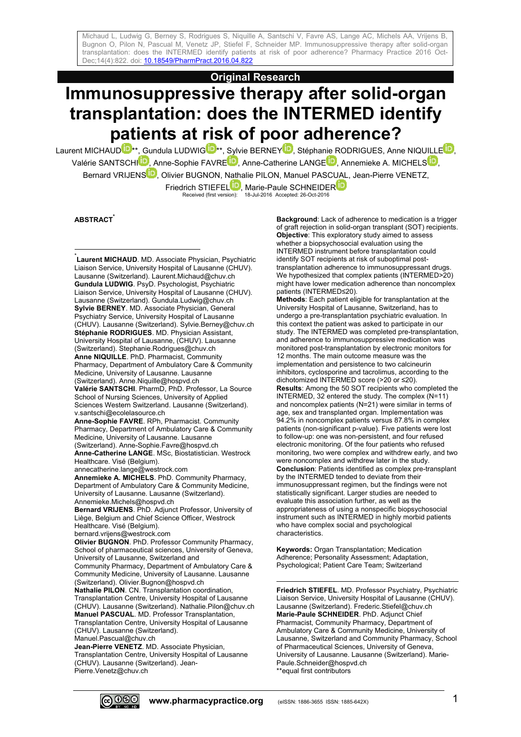**Original Research**

# **Immunosuppressive therapy after solid-organ transplantation: does the INTERMED identify patients at risk of poor adherence?**

Laurent MICHAU[D](http://orcid.org/0000-0002-2954-3848)  $\mathbf{D}^{**}$  $\mathbf{D}^{**}$  $\mathbf{D}^{**}$ [,](http://orcid.org/0000-0001-8643-5731) Gundula LUDWIG  $\mathbf{D}^{**}$ , Sylvie BERNEY  $\mathbf{D}$ , Stéphanie RODRIGUES, Anne NIQUILLE  $\mathbf{D}$ , Valérie SANTSCH[I](http://orcid.org/0000-0002-4452-8857)<sup>D</sup>[,](http://orcid.org/0000-0002-8220-4634) Anne-Sophie FAVRE<sup>D</sup>[,](http://orcid.org/0000-0002-1735-1697) Anne-Catherine LANGE<sup>D</sup>, Annemieke A. MICHELS<sup>D</sup>, Bernard VRIJENS<sup>ID</sup>[,](http://orcid.org/0000-0002-9090-1253) Olivier BUGNON, Nathalie PILON, Manuel PASCUAL, Jean-Pierre VENETZ, Friedrich STIEFE[L](http://orcid.org/0000-0003-0326-7918)<sup>1</sup>, Marie-Paule SCHNEIDE[R](http://orcid.org/0000-0002-7557-9278)<br>Received (first version): 18-Jul-2016 Accepted: 26-Oct-2016

**ABSTRACT\***

1 \* **Laurent MICHAUD**. MD. Associate Physician, Psychiatric Liaison Service, University Hospital of Lausanne (CHUV). Lausanne (Switzerland). Laurent.Michaud@chuv.ch **Gundula LUDWIG**. PsyD. Psychologist, Psychiatric Liaison Service, University Hospital of Lausanne (CHUV). Lausanne (Switzerland). Gundula.Ludwig@chuv.ch **Sylvie BERNEY**. MD. Associate Physician, General Psychiatry Service, University Hospital of Lausanne (CHUV). Lausanne (Switzerland). Sylvie.Berney@chuv.ch **Stéphanie RODRIGUES**. MD. Physician Assistant, University Hospital of Lausanne, (CHUV). Lausanne (Switzerland). Stephanie.Rodrigues@chuv.ch **Anne NIQUILLE**. PhD. Pharmacist, Community Pharmacy, Department of Ambulatory Care & Community Medicine, University of Lausanne. Lausanne (Switzerland). Anne.Niquille@hospvd.ch **Valérie SANTSCHI**. PharmD, PhD. Professor, La Source School of Nursing Sciences, University of Applied Sciences Western Switzerland. Lausanne (Switzerland). v.santschi@ecolelasource.ch **Anne-Sophie FAVRE**. RPh, Pharmacist. Community Pharmacy, Department of Ambulatory Care & Community Medicine, University of Lausanne. Lausanne (Switzerland). Anne-Sophie.Favre@hospvd.ch **Anne-Catherine LANGE**. MSc, Biostatistician. Westrock Healthcare. Visé (Belgium). annecatherine.lange@westrock.com **Annemieke A. MICHELS**. PhD. Community Pharmacy, Department of Ambulatory Care & Community Medicine, University of Lausanne. Lausanne (Switzerland). Annemieke.Michels@hospvd.ch **Bernard VRIJENS**. PhD. Adjunct Professor, University of Liège, Belgium and Chief Science Officer, Westrock Healthcare. Visé (Belgium). bernard.vrijens@westrock.com **Olivier BUGNON**. PhD. Professor Community Pharmacy, School of pharmaceutical sciences, University of Geneva, University of Lausanne, Switzerland and Community Pharmacy, Department of Ambulatory Care & Community Medicine, University of Lausanne. Lausanne (Switzerland). Olivier.Bugnon@hospvd.ch **Nathalie PILON**. CN. Transplantation coordination, Transplantation Centre, University Hospital of Lausanne (CHUV). Lausanne (Switzerland). Nathalie.Pilon@chuv.ch **Manuel PASCUAL**. MD. Professor Transplantation, Transplantation Centre, University Hospital of Lausanne (CHUV). Lausanne (Switzerland). Manuel.Pascual@chuv.ch **Jean-Pierre VENETZ**. MD. Associate Physician, Transplantation Centre, University Hospital of Lausanne (CHUV). Lausanne (Switzerland). Jean-

Pierre.Venetz@chuv.ch

**Background**: Lack of adherence to medication is a trigger of graft rejection in solid-organ transplant (SOT) recipients. **Objective**: This exploratory study aimed to assess whether a biopsychosocial evaluation using the INTERMED instrument before transplantation could identify SOT recipients at risk of suboptimal posttransplantation adherence to immunosuppressant drugs. We hypothesized that complex patients (INTERMED>20) might have lower medication adherence than noncomplex patients (INTERMED≤20). **Methods**: Each patient eligible for transplantation at the

University Hospital of Lausanne, Switzerland, has to undergo a pre-transplantation psychiatric evaluation. In this context the patient was asked to participate in our study. The INTERMED was completed pre-transplantation, and adherence to immunosuppressive medication was monitored post-transplantation by electronic monitors for 12 months. The main outcome measure was the implementation and persistence to two calcineurin inhibitors, cyclosporine and tacrolimus, according to the dichotomized INTERMED score (>20 or ≤20). **Results**: Among the 50 SOT recipients who completed the INTERMED, 32 entered the study. The complex (N=11) and noncomplex patients (N=21) were similar in terms of age, sex and transplanted organ. Implementation was 94.2% in noncomplex patients versus 87.8% in complex patients (non-significant p-value). Five patients were lost to follow-up: one was non-persistent, and four refused electronic monitoring. Of the four patients who refused monitoring, two were complex and withdrew early, and two were noncomplex and withdrew later in the study. **Conclusion**: Patients identified as complex pre-transplant by the INTERMED tended to deviate from their immunosuppressant regimen, but the findings were not statistically significant. Larger studies are needed to evaluate this association further, as well as the appropriateness of using a nonspecific biopsychosocial instrument such as INTERMED in highly morbid patients who have complex social and psychological characteristics.

**Keywords:** Organ Transplantation; Medication Adherence; Personality Assessment; Adaptation, Psychological; Patient Care Team; Switzerland

1 **Friedrich STIEFEL**. MD. Professor Psychiatry, Psychiatric Liaison Service, University Hospital of Lausanne (CHUV). Lausanne (Switzerland). Frederic.Stiefel@chuv.ch **Marie-Paule SCHNEIDER**. PhD. Adjunct Chief Pharmacist, Community Pharmacy, Department of Ambulatory Care & Community Medicine, University of Lausanne, Switzerland and Community Pharmacy, School of Pharmaceutical Sciences, University of Geneva, University of Lausanne. Lausanne (Switzerland). Marie-Paule.Schneider@hospvd.ch \*\*equal first contributors

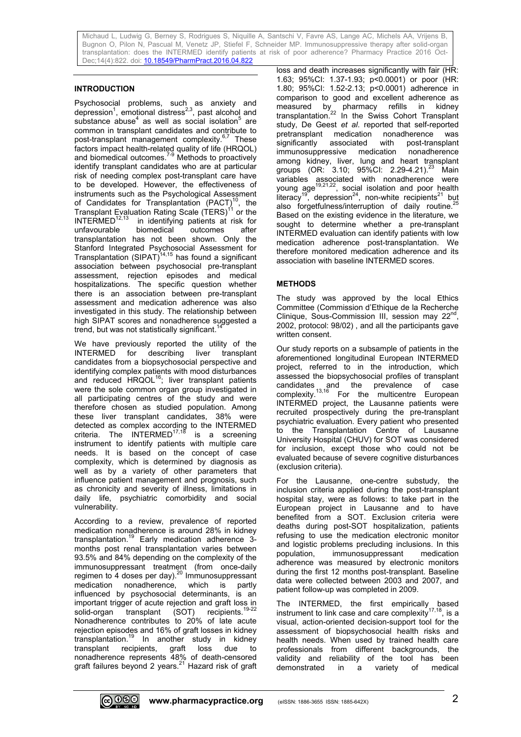## **INTRODUCTION**

Psychosocial problems, such as anxiety and depression<sup>1</sup>, emotional distress<sup>2,3</sup>, past alcohol and substance abuse<sup>4</sup> as well as social isolation<sup>5</sup> are common in transplant candidates and contribute to post-transplant management complexity. 6,7 These factors impact health-related quality of life (HRQOL) and biomedical outcomes.<sup>7-9</sup> Methods to proactively identify transplant candidates who are at particular risk of needing complex post-transplant care have to be developed. However, the effectiveness of instruments such as the Psychological Assessment of Candidates for Transplantation (PACT)<sup>10</sup>, the Transplant Evaluation Rating Scale  $(\hat{T}ERS)^{11}$  or the  $INTERMED^{12,13}$  in identifying patients at risk for unfavourable biomedical outcomes after transplantation has not been shown. Only the Stanford Integrated Psychosocial Assessment for Transplantation  $(SIPAT)^{14,15}$  has found a significant association between psychosocial pre-transplant assessment, rejection episodes and medical hospitalizations. The specific question whether there is an association between pre-transplant assessment and medication adherence was also investigated in this study. The relationship between high SIPAT scores and nonadherence suggested a trend, but was not statistically significant.<sup>14</sup>

We have previously reported the utility of the INTERMED for describing liver transplant candidates from a biopsychosocial perspective and identifying complex patients with mood disturbances and reduced  $HRQOL^{16}$ ; liver transplant patients were the sole common organ group investigated in all participating centres of the study and were therefore chosen as studied population. Among these liver transplant candidates, 38% were detected as complex according to the INTERMED criteria. The INTERMED<sup>17,18</sup> is a screening instrument to identify patients with multiple care needs. It is based on the concept of case complexity, which is determined by diagnosis as well as by a variety of other parameters that influence patient management and prognosis, such as chronicity and severity of illness, limitations in daily life, psychiatric comorbidity and social vulnerability.

According to a review, prevalence of reported medication nonadherence is around 28% in kidney transplantation. <sup>19</sup> Early medication adherence 3 months post renal transplantation varies between 93.5% and 84% depending on the complexity of the immunosuppressant treatment (from once-daily regimen to 4 doses per day).<sup>20</sup> Immunosuppressant medication nonadherence, which is partly influenced by psychosocial determinants, is an important trigger of acute rejection and graft loss in solid-organ transplant (SOT) recipients.<sup>19-22</sup> Nonadherence contributes to 20% of late acute rejection episodes and 16% of graft losses in kidney transplantation. <sup>19</sup> In another study in kidney transplant recipients, graft loss due to nonadherence represents 48% of death-censored graft failures beyond 2 years.<sup>21</sup> Hazard risk of graft loss and death increases significantly with fair (HR: 1.63; 95%CI: 1.37-1.93; p<0.0001) or poor (HR: 1.80; 95%CI: 1.52-2.13; p<0.0001) adherence in comparison to good and excellent adherence as measured by pharmacy refills in kidney transplantation. <sup>22</sup> In the Swiss Cohort Transplant study, De Geest *et al*. reported that self-reported pretransplant medication nonadherence was<br>significantly associated with post-transplant associated with post-transplant immunosuppressive medication nonadherence among kidney, liver, lung and heart transplant groups (OR: 3.10; 95%CI: 2.29-4.21).<sup>23</sup> Main variables associated with nonadherence were young age<sup>19,21,22</sup>, social isolation and poor health literacy<sup>19</sup>, depression<sup>24</sup>, non-white recipients<sup>21</sup> but also forgetfulness/interruption of daily routine.<sup>25</sup> Based on the existing evidence in the literature, we sought to determine whether a pre-transplant INTERMED evaluation can identify patients with low medication adherence post-transplantation. We therefore monitored medication adherence and its association with baseline INTERMED scores.

### **METHODS**

The study was approved by the local Ethics Committee (Commission d'Ethique de la Recherche Clinique, Sous-Commission III, session may 22<sup>nd</sup>, 2002, protocol: 98/02) , and all the participants gave written consent.

Our study reports on a subsample of patients in the aforementioned longitudinal European INTERMED project, referred to in the introduction, which assessed the biopsychosocial profiles of transplant candidates and the prevalence of case complexity.<sup>13,16</sup> For the multicentre European INTERMED project, the Lausanne patients were recruited prospectively during the pre-transplant psychiatric evaluation. Every patient who presented to the Transplantation Centre of Lausanne University Hospital (CHUV) for SOT was considered for inclusion, except those who could not be evaluated because of severe cognitive disturbances (exclusion criteria).

For the Lausanne, one-centre substudy, the inclusion criteria applied during the post-transplant hospital stay, were as follows: to take part in the European project in Lausanne and to have benefited from a SOT. Exclusion criteria were deaths during post-SOT hospitalization, patients refusing to use the medication electronic monitor and logistic problems precluding inclusions. In this population, immunosuppressant medication adherence was measured by electronic monitors during the first 12 months post-transplant. Baseline data were collected between 2003 and 2007, and patient follow-up was completed in 2009.

The INTERMED, the first empirically based instrument to link case and care complexity $17,18$ , is a visual, action-oriented decision-support tool for the assessment of biopsychosocial health risks and health needs. When used by trained health care professionals from different backgrounds, the validity and reliability of the tool has been demonstrated in a variety of medical

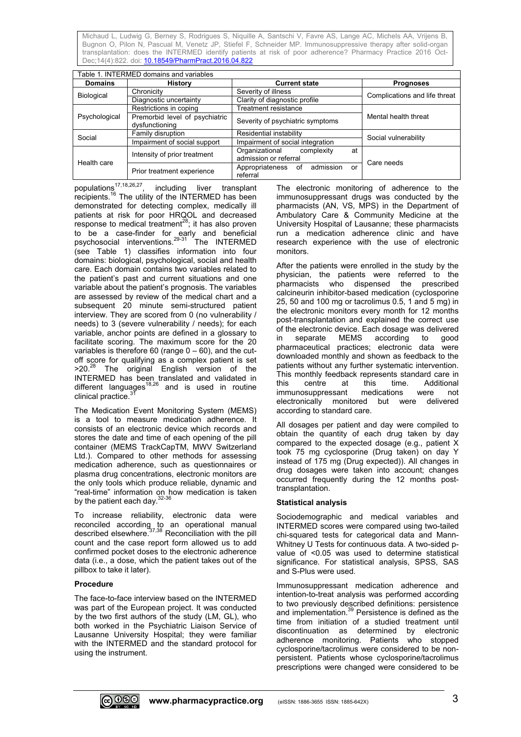| Table 1. INTERMED domains and variables |                                                  |                                                             |                               |  |  |  |  |  |
|-----------------------------------------|--------------------------------------------------|-------------------------------------------------------------|-------------------------------|--|--|--|--|--|
| <b>Domains</b>                          | <b>History</b>                                   | <b>Current state</b>                                        | <b>Prognoses</b>              |  |  |  |  |  |
| <b>Biological</b>                       | Chronicity                                       | Severity of illness                                         | Complications and life threat |  |  |  |  |  |
|                                         | Diagnostic uncertainty                           | Clarity of diagnostic profile                               |                               |  |  |  |  |  |
|                                         | Restrictions in coping                           | <b>Treatment resistance</b>                                 | Mental health threat          |  |  |  |  |  |
| Psychological                           | Premorbid level of psychiatric<br>dysfunctioning | Severity of psychiatric symptoms                            |                               |  |  |  |  |  |
| Social                                  | Family disruption                                | Residential instability                                     | Social vulnerability          |  |  |  |  |  |
|                                         | Impairment of social support                     | Impairment of social integration                            |                               |  |  |  |  |  |
| Health care                             | Intensity of prior treatment                     | Organizational<br>complexity<br>at<br>admission or referral | Care needs                    |  |  |  |  |  |
|                                         | Prior treatment experience                       | admission<br>Appropriateness<br>of<br>or<br>referral        |                               |  |  |  |  |  |

populations<sup>17,18,26,27</sup>, including liver transplant recipients.<sup>16</sup> The utility of the INTERMED has been demonstrated for detecting complex, medically ill patients at risk for poor HRQOL and decreased response to medical treatment $^{28}$ ; it has also proven to be a case-finder for early and beneficial psychosocial interventions.<sup>29-31</sup> The INTERMED (see Table 1) classifies information into four domains: biological, psychological, social and health care. Each domain contains two variables related to the patient's past and current situations and one variable about the patient's prognosis. The variables are assessed by review of the medical chart and a subsequent 20 minute semi-structured patient interview. They are scored from 0 (no vulnerability / needs) to 3 (severe vulnerability / needs); for each variable, anchor points are defined in a glossary to facilitate scoring. The maximum score for the 20 variables is therefore 60 (range  $0 - 60$ ), and the cutoff score for qualifying as a complex patient is set >20.<sup>28</sup> The original English version of the INTERMED has been translated and validated in different languages<sup>18,26</sup> and is used in routine clinical practice.<sup>31</sup>

The Medication Event Monitoring System (MEMS) is a tool to measure medication adherence. It consists of an electronic device which records and stores the date and time of each opening of the pill container (MEMS TrackCapTM, MWV Switzerland Ltd.). Compared to other methods for assessing medication adherence, such as questionnaires or plasma drug concentrations, electronic monitors are the only tools which produce reliable, dynamic and "real-time" information on how medication is taken by the patient each day.<sup>32-36</sup>

To increase reliability, electronic data were reconciled according to an operational manual described elsewhere. 37,38 Reconciliation with the pill count and the case report form allowed us to add confirmed pocket doses to the electronic adherence data (i.e., a dose, which the patient takes out of the pillbox to take it later).

### **Procedure**

The face-to-face interview based on the INTERMED was part of the European project. It was conducted by the two first authors of the study (LM, GL), who both worked in the Psychiatric Liaison Service of Lausanne University Hospital; they were familiar with the INTERMED and the standard protocol for using the instrument.

The electronic monitoring of adherence to the immunosuppressant drugs was conducted by the pharmacists (AN, VS, MPS) in the Department of Ambulatory Care & Community Medicine at the University Hospital of Lausanne; these pharmacists run a medication adherence clinic and have research experience with the use of electronic monitors.

After the patients were enrolled in the study by the physician, the patients were referred to the pharmacists who dispensed the prescribed calcineurin inhibitor-based medication (cyclosporine 25, 50 and 100 mg or tacrolimus 0.5, 1 and 5 mg) in the electronic monitors every month for 12 months post-transplantation and explained the correct use of the electronic device. Each dosage was delivered in separate MEMS according to good pharmaceutical practices; electronic data were downloaded monthly and shown as feedback to the patients without any further systematic intervention. This monthly feedback represents standard care in this centre at this time. Additional immunosuppressant medications were not electronically monitored but were delivered according to standard care.

All dosages per patient and day were compiled to obtain the quantity of each drug taken by day compared to the expected dosage (e.g., patient X took 75 mg cyclosporine (Drug taken) on day Y instead of 175 mg (Drug expected)). All changes in drug dosages were taken into account; changes occurred frequently during the 12 months posttransplantation.

### **Statistical analysis**

Sociodemographic and medical variables and INTERMED scores were compared using two-tailed chi-squared tests for categorical data and Mann-Whitney U Tests for continuous data. A two-sided pvalue of <0.05 was used to determine statistical significance. For statistical analysis, SPSS, SAS and S-Plus were used.

Immunosuppressant medication adherence and intention-to-treat analysis was performed according to two previously described definitions: persistence and implementation. <sup>39</sup> Persistence is defined as the time from initiation of a studied treatment until discontinuation as determined by electronic adherence monitoring. Patients who stopped cyclosporine/tacrolimus were considered to be nonpersistent. Patients whose cyclosporine/tacrolimus prescriptions were changed were considered to be

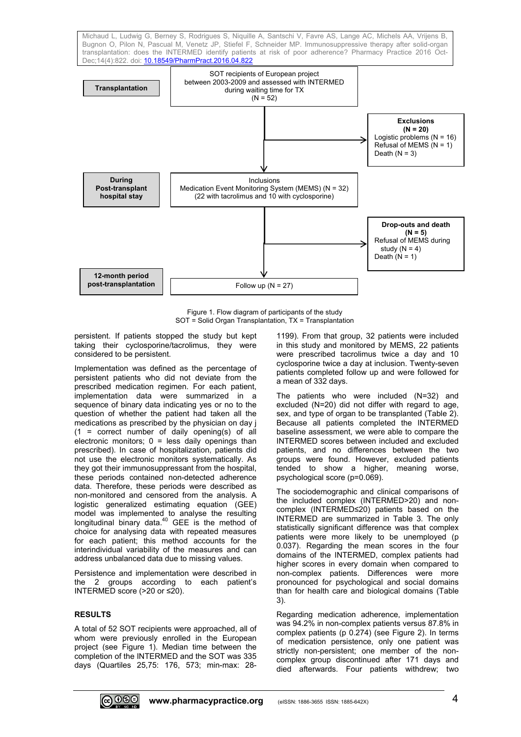

Figure 1. Flow diagram of participants of the study SOT = Solid Organ Transplantation, TX = Transplantation

persistent. If patients stopped the study but kept taking their cyclosporine/tacrolimus, they were considered to be persistent.

Implementation was defined as the percentage of persistent patients who did not deviate from the prescribed medication regimen. For each patient, implementation data were summarized in a sequence of binary data indicating yes or no to the question of whether the patient had taken all the medications as prescribed by the physician on day j (1 = correct number of daily opening(s) of all electronic monitors;  $0 =$  less daily openings than prescribed). In case of hospitalization, patients did not use the electronic monitors systematically. As they got their immunosuppressant from the hospital, these periods contained non-detected adherence data. Therefore, these periods were described as non-monitored and censored from the analysis. A logistic generalized estimating equation (GEE) model was implemented to analyse the resulting longitudinal binary data.<sup>40</sup> GEE is the method of choice for analysing data with repeated measures for each patient; this method accounts for the interindividual variability of the measures and can address unbalanced data due to missing values.

Persistence and implementation were described in the 2 groups according to each patient's INTERMED score (>20 or ≤20).

### **RESULTS**

A total of 52 SOT recipients were approached, all of whom were previously enrolled in the European project (see Figure 1). Median time between the completion of the INTERMED and the SOT was 335 days (Quartiles 25,75: 176, 573; min-max: 281199). From that group, 32 patients were included in this study and monitored by MEMS, 22 patients were prescribed tacrolimus twice a day and 10 cyclosporine twice a day at inclusion. Twenty-seven patients completed follow up and were followed for a mean of 332 days.

The patients who were included (N=32) and excluded (N=20) did not differ with regard to age, sex, and type of organ to be transplanted (Table 2). Because all patients completed the INTERMED baseline assessment, we were able to compare the INTERMED scores between included and excluded patients, and no differences between the two groups were found. However, excluded patients tended to show a higher, meaning worse, psychological score (p=0.069).

The sociodemographic and clinical comparisons of the included complex (INTERMED>20) and noncomplex (INTERMED≤20) patients based on the INTERMED are summarized in Table 3. The only statistically significant difference was that complex patients were more likely to be unemployed (p 0.037). Regarding the mean scores in the four domains of the INTERMED, complex patients had higher scores in every domain when compared to non-complex patients. Differences were more pronounced for psychological and social domains than for health care and biological domains (Table 3).

Regarding medication adherence, implementation was 94.2% in non-complex patients versus 87.8% in complex patients (p 0.274) (see Figure 2). In terms of medication persistence, only one patient was strictly non-persistent; one member of the noncomplex group discontinued after 171 days and died afterwards. Four patients withdrew; two

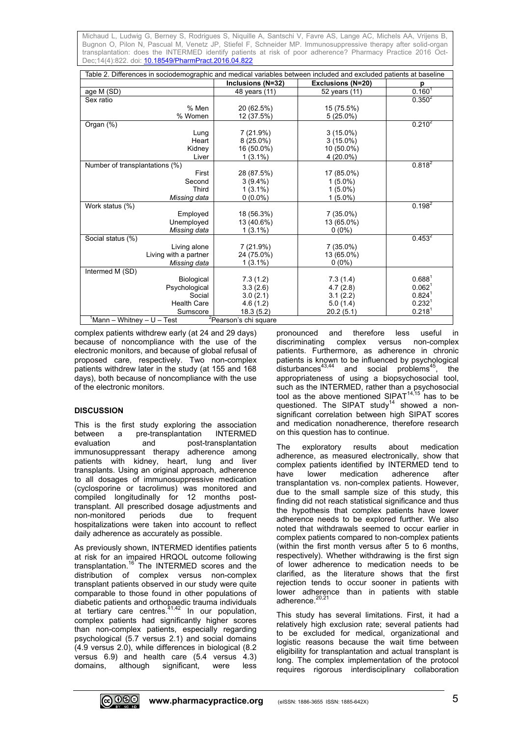| Table 2. Differences in sociodemographic and medical variables between included and excluded patients at baseline |                       |                          |                    |  |  |  |
|-------------------------------------------------------------------------------------------------------------------|-----------------------|--------------------------|--------------------|--|--|--|
|                                                                                                                   | Inclusions (N=32)     | <b>Exclusions (N=20)</b> | р                  |  |  |  |
| age M (SD)                                                                                                        | 48 years (11)         | 52 years (11)            | $0.160^{1}$        |  |  |  |
| Sex ratio                                                                                                         |                       |                          | $0.350^{2}$        |  |  |  |
| % Men                                                                                                             | 20 (62.5%)            | 15 (75.5%)               |                    |  |  |  |
| % Women                                                                                                           | 12 (37.5%)            | $5(25.0\%)$              |                    |  |  |  |
| Organ (%)                                                                                                         |                       |                          | $0.210^{2}$        |  |  |  |
| Lung                                                                                                              | 7(21.9%)              | $3(15.0\%)$              |                    |  |  |  |
| Heart                                                                                                             | $8(25.0\%)$           | $3(15.0\%)$              |                    |  |  |  |
| Kidney                                                                                                            | 16 (50.0%)            | 10 (50.0%)               |                    |  |  |  |
| Liver                                                                                                             | $1(3.1\%)$            | 4 (20.0%)                |                    |  |  |  |
| Number of transplantations (%)                                                                                    |                       |                          | $0.818^{2}$        |  |  |  |
| First                                                                                                             | 28 (87.5%)            | 17 (85.0%)               |                    |  |  |  |
| Second                                                                                                            | $3(9.4\%)$            | $1(5.0\%)$               |                    |  |  |  |
| Third                                                                                                             | $1(3.1\%)$            | $1(5.0\%)$               |                    |  |  |  |
| Missing data                                                                                                      | $0(0.0\%)$            | $1(5.0\%)$               |                    |  |  |  |
| Work status (%)                                                                                                   |                       |                          | $0.198^{2}$        |  |  |  |
| Employed                                                                                                          | 18 (56.3%)            | 7 (35.0%)                |                    |  |  |  |
| Unemployed                                                                                                        | 13 (40.6%)            | 13 (65.0%)               |                    |  |  |  |
| Missing data                                                                                                      | $1(3.1\%)$            | $0(0\%)$                 |                    |  |  |  |
| Social status (%)                                                                                                 |                       |                          | $0.453^{2}$        |  |  |  |
| Living alone                                                                                                      | 7 (21.9%)             | 7 (35.0%)                |                    |  |  |  |
| Living with a partner                                                                                             | 24 (75.0%)            | 13 (65.0%)               |                    |  |  |  |
| Missing data                                                                                                      | $1(3.1\%)$            | $0(0\%)$                 |                    |  |  |  |
| Intermed M (SD)                                                                                                   |                       |                          |                    |  |  |  |
| Biological                                                                                                        | 7.3(1.2)              | 7.3(1.4)                 | $0.688^{1}$        |  |  |  |
| Psychological                                                                                                     | 3.3(2.6)              | 4.7(2.8)                 | 0.062 <sup>1</sup> |  |  |  |
| Social                                                                                                            | 3.0(2.1)              | 3.1(2.2)                 | 0.824 <sup>1</sup> |  |  |  |
| <b>Health Care</b>                                                                                                | 4.6(1.2)<br>18.3(5.2) | 5.0(1.4)                 | 0.232 <sup>1</sup> |  |  |  |
| Sumscore                                                                                                          | 20.2(5.1)             | 0.218 <sup>1</sup>       |                    |  |  |  |
| <sup>2</sup> Pearson's chi square<br>Mann – Whitney – U – Test                                                    |                       |                          |                    |  |  |  |

complex patients withdrew early (at 24 and 29 days) because of noncompliance with the use of the electronic monitors, and because of global refusal of proposed care, respectively. Two non-complex patients withdrew later in the study (at 155 and 168 days), both because of noncompliance with the use of the electronic monitors.

### **DISCUSSION**

This is the first study exploring the association between a pre-transplantation INTERMED evaluation and post-transplantation immunosuppressant therapy adherence among patients with kidney, heart, lung and liver transplants. Using an original approach, adherence to all dosages of immunosuppressive medication (cyclosporine or tacrolimus) was monitored and compiled longitudinally for 12 months posttransplant. All prescribed dosage adjustments and non-monitored periods due to frequent hospitalizations were taken into account to reflect daily adherence as accurately as possible.

As previously shown, INTERMED identifies patients at risk for an impaired HRQOL outcome following transplantation.<sup>16</sup> The INTERMED scores and the distribution of complex versus non-complex transplant patients observed in our study were quite comparable to those found in other populations of diabetic patients and orthopaedic trauma individuals at tertiary care centres.<sup>41,42</sup> In our population, complex patients had significantly higher scores than non-complex patients, especially regarding psychological (5.7 versus 2.1) and social domains (4.9 versus 2.0), while differences in biological (8.2 versus 6.9) and health care (5.4 versus 4.3) domains, although significant, were less

pronounced and therefore less useful in discriminating complex versus non-complex patients. Furthermore, as adherence in chronic patients is known to be influenced by psychological disturbances $^{43,44}$  and social problems $^{45}$ , the appropriateness of using a biopsychosocial tool, such as the INTERMED, rather than a psychosocial tool as the above mentioned SIPAT $14,15$  has to be questioned. The SIPAT study<sup>14</sup> showed a nonsignificant correlation between high SIPAT scores and medication nonadherence, therefore research on this question has to continue.

The exploratory results about medication adherence, as measured electronically, show that complex patients identified by INTERMED tend to<br>have lower medication adherence after lower medication adherence after transplantation vs. non-complex patients. However, due to the small sample size of this study, this finding did not reach statistical significance and thus the hypothesis that complex patients have lower adherence needs to be explored further. We also noted that withdrawals seemed to occur earlier in complex patients compared to non-complex patients (within the first month versus after 5 to 6 months, respectively). Whether withdrawing is the first sign of lower adherence to medication needs to be clarified, as the literature shows that the first rejection tends to occur sooner in patients with lower adherence than in patients with stable adherence. 20,21

This study has several limitations. First, it had a relatively high exclusion rate; several patients had to be excluded for medical, organizational and logistic reasons because the wait time between eligibility for transplantation and actual transplant is long. The complex implementation of the protocol requires rigorous interdisciplinary collaboration

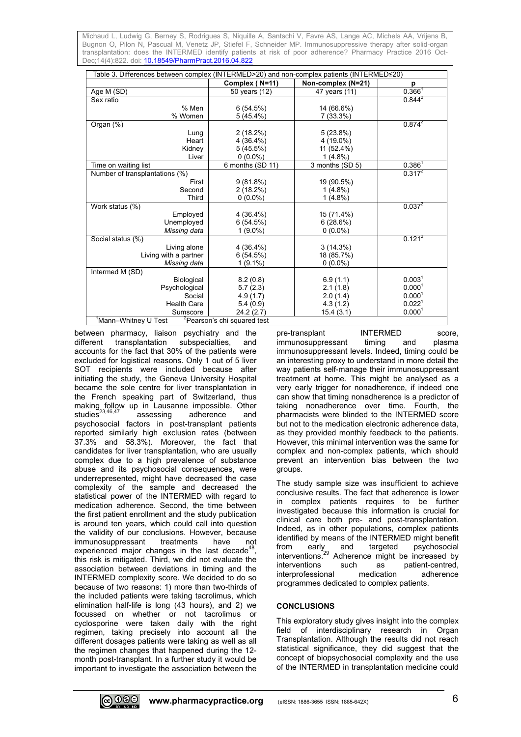| Table 3. Differences between complex (INTERMED>20) and non-complex patients (INTERMED≤20) |                                         |                    |                    |  |  |  |
|-------------------------------------------------------------------------------------------|-----------------------------------------|--------------------|--------------------|--|--|--|
|                                                                                           | Complex (N=11)                          | Non-complex (N=21) | p                  |  |  |  |
| Age M (SD)                                                                                | 50 years (12)                           | 47 years (11)      | 0.366 <sup>1</sup> |  |  |  |
| Sex ratio                                                                                 |                                         |                    | $0.844^{2}$        |  |  |  |
| % Men                                                                                     | 6(54.5%)                                | 14 (66.6%)         |                    |  |  |  |
| % Women                                                                                   | $5(45.4\%)$                             | 7 (33.3%)          |                    |  |  |  |
| Organ (%)                                                                                 |                                         |                    | $0.874^2$          |  |  |  |
| Lung                                                                                      | $2(18.2\%)$                             | $5(23.8\%)$        |                    |  |  |  |
| Heart                                                                                     | 4 (36.4%)                               | 4 (19.0%)          |                    |  |  |  |
| Kidney                                                                                    | 5(45.5%)                                | 11 (52.4%)         |                    |  |  |  |
| Liver                                                                                     | $0(0.0\%)$                              | $1(4.8\%)$         |                    |  |  |  |
| Time on waiting list                                                                      | 6 months (SD 11)                        | 3 months (SD 5)    | $0.386^1$          |  |  |  |
| Number of transplantations (%)                                                            |                                         |                    | $0.317^2$          |  |  |  |
| First                                                                                     | $9(81.8\%)$                             | 19 (90.5%)         |                    |  |  |  |
| Second                                                                                    | 2(18.2%)                                | $1(4.8\%)$         |                    |  |  |  |
| Third                                                                                     | $0(0.0\%)$                              | $1(4.8\%)$         |                    |  |  |  |
| Work status (%)                                                                           |                                         |                    | $0.037^2$          |  |  |  |
| Employed                                                                                  | 4 (36.4%)                               | 15 (71.4%)         |                    |  |  |  |
| Unemployed                                                                                | 6(54.5%)                                | 6(28.6%)           |                    |  |  |  |
| Missing data                                                                              | $1(9.0\%)$                              | $0(0.0\%)$         |                    |  |  |  |
| Social status (%)                                                                         |                                         |                    | $0.121^{2}$        |  |  |  |
| Living alone                                                                              | 4 (36.4%)                               | 3(14.3%)           |                    |  |  |  |
| Living with a partner                                                                     | 6(54.5%)                                | 18 (85.7%)         |                    |  |  |  |
| Missing data                                                                              | $1(9.1\%)$                              | $0(0.0\%)$         |                    |  |  |  |
| Intermed M (SD)                                                                           |                                         |                    |                    |  |  |  |
| Biological                                                                                | 8.2(0.8)                                | 6.9(1.1)           | 0.003 <sup>1</sup> |  |  |  |
| Psychological                                                                             | 5.7(2.3)                                | 2.1(1.8)           | 0.000 <sup>1</sup> |  |  |  |
| Social                                                                                    | 4.9(1.7)                                | 2.0(1.4)           | 0.000 <sup>1</sup> |  |  |  |
| <b>Health Care</b>                                                                        | 5.4(0.9)                                | 4.3(1.2)           | $0.022^1$          |  |  |  |
| Sumscore                                                                                  | 24.2(2.7)                               | 15.4(3.1)          | 0.000 <sup>1</sup> |  |  |  |
| <sup>1</sup> Mann–Whitney U Test                                                          | <sup>2</sup> Pearson's chi squared test |                    |                    |  |  |  |

between pharmacy, liaison psychiatry and the different transplantation subspecialties, and accounts for the fact that 30% of the patients were excluded for logistical reasons. Only 1 out of 5 liver SOT recipients were included because after initiating the study, the Geneva University Hospital became the sole centre for liver transplantation in the French speaking part of Switzerland, thus making follow up in Lausanne impossible. Other studies<sup>23,46,47</sup> assessing adherence and psychosocial factors in post-transplant patients reported similarly high exclusion rates (between 37.3% and 58.3%). Moreover, the fact that candidates for liver transplantation, who are usually complex due to a high prevalence of substance abuse and its psychosocial consequences, were underrepresented, might have decreased the case complexity of the sample and decreased the statistical power of the INTERMED with regard to medication adherence. Second, the time between the first patient enrollment and the study publication is around ten years, which could call into question the validity of our conclusions. However, because immunosuppressant treatments have not experienced major changes in the last decade<sup>4</sup> , this risk is mitigated. Third, we did not evaluate the association between deviations in timing and the INTERMED complexity score. We decided to do so because of two reasons: 1) more than two-thirds of the included patients were taking tacrolimus, which elimination half-life is long (43 hours), and 2) we focussed on whether or not tacrolimus or cyclosporine were taken daily with the right regimen, taking precisely into account all the different dosages patients were taking as well as all the regimen changes that happened during the 12 month post-transplant. In a further study it would be important to investigate the association between the

pre-transplant INTERMED score, immunosuppressant timing and plasma immunosuppressant levels. Indeed, timing could be an interesting proxy to understand in more detail the way patients self-manage their immunosuppressant treatment at home. This might be analysed as a very early trigger for nonadherence, if indeed one can show that timing nonadherence is a predictor of taking nonadherence over time. Fourth, the pharmacists were blinded to the INTERMED score but not to the medication electronic adherence data, as they provided monthly feedback to the patients. However, this minimal intervention was the same for complex and non-complex patients, which should prevent an intervention bias between the two groups.

The study sample size was insufficient to achieve conclusive results. The fact that adherence is lower in complex patients requires to be further investigated because this information is crucial for clinical care both pre- and post-transplantation. Indeed, as in other populations, complex patients identified by means of the INTERMED might benefit from early and targeted psychosocial interventions.<sup>29</sup> Adherence might be increased by interventions such as patient-centred, interprofessional medication adherence programmes dedicated to complex patients.

### **CONCLUSIONS**

This exploratory study gives insight into the complex field of interdisciplinary research in Organ Transplantation. Although the results did not reach statistical significance, they did suggest that the concept of biopsychosocial complexity and the use of the INTERMED in transplantation medicine could

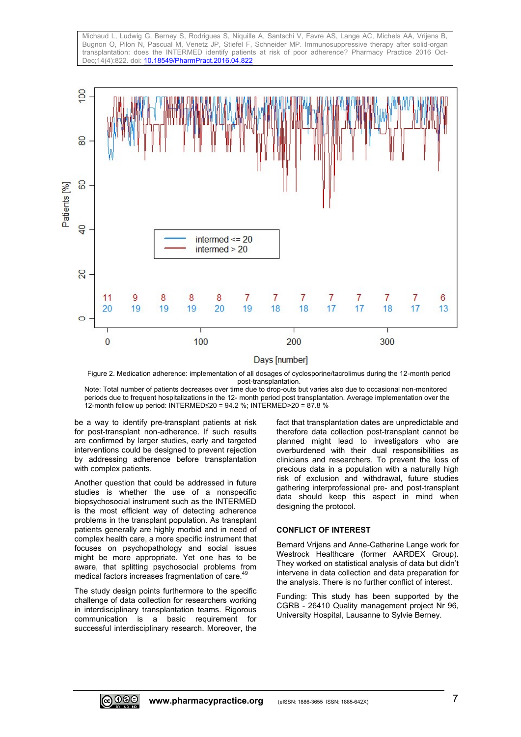Michaud L, Ludwig G, Berney S, Rodrigues S, Niquille A, Santschi V, Favre AS, Lange AC, Michels AA, Vrijens B, Bugnon O, Pilon N, Pascual M, Venetz JP, Stiefel F, Schneider MP. Immunosuppressive therapy after solid-organ transplantation: does the INTERMED identify patients at risk of poor adherence? Pharmacy Practice 2016 Oct-Dec;14(4):822. doi[: 10.18549/PharmPract.2016.04.822](https://doi.org/10.18549/PharmPract.2016.04.822)



Figure 2. Medication adherence: implementation of all dosages of cyclosporine/tacrolimus during the 12-month period post-transplantation.

Note: Total number of patients decreases over time due to drop-outs but varies also due to occasional non-monitored periods due to frequent hospitalizations in the 12- month period post transplantation. Average implementation over the 12-month follow up period: INTERMED≤20 = 94.2 %; INTERMED>20 = 87.8 %

be a way to identify pre-transplant patients at risk for post-transplant non-adherence. If such results are confirmed by larger studies, early and targeted interventions could be designed to prevent rejection by addressing adherence before transplantation with complex patients.

Another question that could be addressed in future studies is whether the use of a nonspecific biopsychosocial instrument such as the INTERMED is the most efficient way of detecting adherence problems in the transplant population. As transplant patients generally are highly morbid and in need of complex health care, a more specific instrument that focuses on psychopathology and social issues might be more appropriate. Yet one has to be aware, that splitting psychosocial problems from medical factors increases fragmentation of care.<sup>4</sup>

The study design points furthermore to the specific challenge of data collection for researchers working in interdisciplinary transplantation teams. Rigorous communication is a basic requirement for successful interdisciplinary research. Moreover, the fact that transplantation dates are unpredictable and therefore data collection post-transplant cannot be planned might lead to investigators who are overburdened with their dual responsibilities as clinicians and researchers. To prevent the loss of precious data in a population with a naturally high risk of exclusion and withdrawal, future studies gathering interprofessional pre- and post-transplant data should keep this aspect in mind when designing the protocol.

#### **CONFLICT OF INTEREST**

Bernard Vrijens and Anne-Catherine Lange work for Westrock Healthcare (former AARDEX Group). They worked on statistical analysis of data but didn't intervene in data collection and data preparation for the analysis. There is no further conflict of interest.

Funding: This study has been supported by the CGRB - 26410 Quality management project Nr 96, University Hospital, Lausanne to Sylvie Berney.

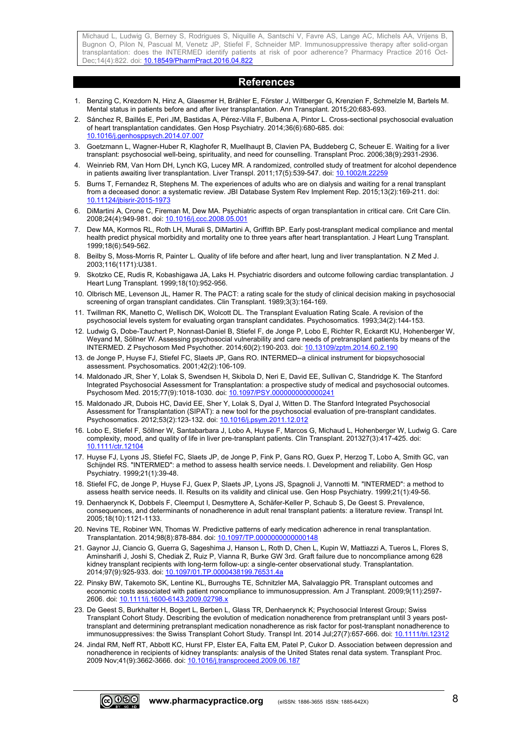#### **References**

- 1. Benzing C, Krezdorn N, Hinz A, Glaesmer H, Brähler E, Förster J, Wiltberger G, Krenzien F, Schmelzle M, Bartels M. Mental status in patients before and after liver transplantation. Ann Transplant. 2015;20:683-693.
- 2. Sánchez R, Baillés E, Peri JM, Bastidas A, Pérez-Villa F, Bulbena A, Pintor L. Cross-sectional psychosocial evaluation of heart transplantation candidates. Gen Hosp Psychiatry. 2014;36(6):680-685. doi: [10.1016/j.genhosppsych.2014.07.007](https://doi.org/10.1016/j.genhosppsych.2014.07.007)
- 3. Goetzmann L, Wagner-Huber R, Klaghofer R, Muellhaupt B, Clavien PA, Buddeberg C, Scheuer E. Waiting for a liver transplant: psychosocial well-being, spirituality, and need for counselling. Transplant Proc. 2006;38(9):2931-2936.
- 4. Weinrieb RM, Van Horn DH, Lynch KG, Lucey MR. A randomized, controlled study of treatment for alcohol dependence in patients awaiting liver transplantation. Liver Transpl. 2011;17(5):539-547. doi: [10.1002/lt.22259](https://doi.org/10.1002/lt.22259)
- 5. Burns T, Fernandez R, Stephens M. The experiences of adults who are on dialysis and waiting for a renal transplant from a deceased donor: a systematic review. JBI Database System Rev Implement Rep. 2015;13(2):169-211. doi: [10.11124/jbisrir-2015-1973](https://doi.org/10.11124/jbisrir-2015-1973)
- 6. DiMartini A, Crone C, Fireman M, Dew MA. Psychiatric aspects of organ transplantation in critical care. Crit Care Clin. 2008;24(4):949-981. doi: [10.1016/j.ccc.2008.05.001](https://doi.org/10.1016/j.ccc.2008.05.001)
- 7. Dew MA, Kormos RL, Roth LH, Murali S, DiMartini A, Griffith BP. Early post-transplant medical compliance and mental health predict physical morbidity and mortality one to three years after heart transplantation. J Heart Lung Transplant. 1999;18(6):549-562.
- 8. Beilby S, Moss-Morris R, Painter L. Quality of life before and after heart, lung and liver transplantation. N Z Med J. 2003;116(1171):U381.
- 9. Skotzko CE, Rudis R, Kobashigawa JA, Laks H. Psychiatric disorders and outcome following cardiac transplantation. J Heart Lung Transplant. 1999;18(10):952-956.
- 10. Olbrisch ME, Levenson JL, Hamer R. The PACT: a rating scale for the study of clinical decision making in psychosocial screening of organ transplant candidates. Clin Transplant. 1989;3(3):164-169.
- 11. Twillman RK, Manetto C, Wellisch DK, Wolcott DL. The Transplant Evaluation Rating Scale. A revision of the psychosocial levels system for evaluating organ transplant candidates. Psychosomatics. 1993;34(2):144-153.
- 12. Ludwig G, Dobe-Tauchert P, Nonnast-Daniel B, Stiefel F, de Jonge P, Lobo E, Richter R, Eckardt KU, Hohenberger W, Weyand M, Söllner W. Assessing psychosocial vulnerability and care needs of pretransplant patients by means of the INTERMED. Z Psychosom Med Psychother. 2014;60(2):190-203. doi[: 10.13109/zptm.2014.60.2.190](https://doi.org/10.13109/zptm.2014.60.2.190)
- 13. de Jonge P, Huyse FJ, Stiefel FC, Slaets JP, Gans RO. INTERMED--a clinical instrument for biopsychosocial assessment. Psychosomatics. 2001;42(2):106-109.
- 14. Maldonado JR, Sher Y, Lolak S, Swendsen H, Skibola D, Neri E, David EE, Sullivan C, Standridge K. The Stanford Integrated Psychosocial Assessment for Transplantation: a prospective study of medical and psychosocial outcomes. Psychosom Med. 2015;77(9):1018-1030. doi[: 10.1097/PSY.0000000000000241](https://doi.org/10.1097/PSY.0000000000000241)
- 15. Maldonado JR, Dubois HC, David EE, Sher Y, Lolak S, Dyal J, Witten D. The Stanford Integrated Psychosocial Assessment for Transplantation (SIPAT): a new tool for the psychosocial evaluation of pre-transplant candidates. Psychosomatics. 2012;53(2):123-132. doi[: 10.1016/j.psym.2011.12.012](https://doi.org/10.1016/j.psym.2011.12.012)
- 16. Lobo E, Stiefel F, Söllner W, Santabarbara J, Lobo A, Huyse F, Marcos G, Michaud L, Hohenberger W, Ludwig G. Care complexity, mood, and quality of life in liver pre-transplant patients. Clin Transplant. 201327(3):417-425. doi: [10.1111/ctr.12104](https://doi.org/10.1111/ctr.12104)
- 17. Huyse FJ, Lyons JS, Stiefel FC, Slaets JP, de Jonge P, Fink P, Gans RO, Guex P, Herzog T, Lobo A, Smith GC, van Schijndel RS. "INTERMED": a method to assess health service needs. I. Development and reliability. Gen Hosp Psychiatry. 1999;21(1):39-48.
- 18. Stiefel FC, de Jonge P, Huyse FJ, Guex P, Slaets JP, Lyons JS, Spagnoli J, Vannotti M. "INTERMED": a method to assess health service needs. II. Results on its validity and clinical use. Gen Hosp Psychiatry. 1999;21(1):49-56.
- 19. Denhaerynck K, Dobbels F, Cleemput I, Desmyttere A, Schäfer-Keller P, Schaub S, De Geest S. Prevalence, consequences, and determinants of nonadherence in adult renal transplant patients: a literature review. Transpl Int. 2005;18(10):1121-1133.
- 20. Nevins TE, Robiner WN, Thomas W. Predictive patterns of early medication adherence in renal transplantation. Transplantation. 2014;98(8):878-884. doi[: 10.1097/TP.0000000000000148](https://doi.org/10.1097/TP.0000000000000148)
- 21. Gaynor JJ, Ciancio G, Guerra G, Sageshima J, Hanson L, Roth D, Chen L, Kupin W, Mattiazzi A, Tueros L, Flores S, Aminsharifi J, Joshi S, Chediak Z, Ruiz P, Vianna R, Burke GW 3rd. Graft failure due to noncompliance among 628 kidney transplant recipients with long-term follow-up: a single-center observational study. Transplantation. 2014;97(9):925-933. doi: [10.1097/01.TP.0000438199.76531.4a](https://doi.org/10.1097/01.TP.0000438199.76531.4a)
- 22. Pinsky BW, Takemoto SK, Lentine KL, Burroughs TE, Schnitzler MA, Salvalaggio PR. Transplant outcomes and economic costs associated with patient noncompliance to immunosuppression. Am J Transplant. 2009;9(11):2597- 2606. doi[: 10.1111/j.1600-6143.2009.02798.x](https://doi.org/10.1111/j.1600-6143.2009.02798.x)
- 23. De Geest S, Burkhalter H, Bogert L, Berben L, Glass TR, Denhaerynck K; Psychosocial Interest Group; Swiss Transplant Cohort Study. Describing the evolution of medication nonadherence from pretransplant until 3 years posttransplant and determining pretransplant medication nonadherence as risk factor for post-transplant nonadherence to immunosuppressives: the Swiss Transplant Cohort Study. Transpl Int. 2014 Jul;27(7):657-666. doi: [10.1111/tri.12312](https://doi.org/10.1111/tri.12312)
- 24. Jindal RM, Neff RT, Abbott KC, Hurst FP, Elster EA, Falta EM, Patel P, Cukor D. Association between depression and nonadherence in recipients of kidney transplants: analysis of the United States renal data system. Transplant Proc. 2009 Nov;41(9):3662-3666. doi[: 10.1016/j.transproceed.2009.06.187](https://doi.org/10.1016/j.transproceed.2009.06.187)